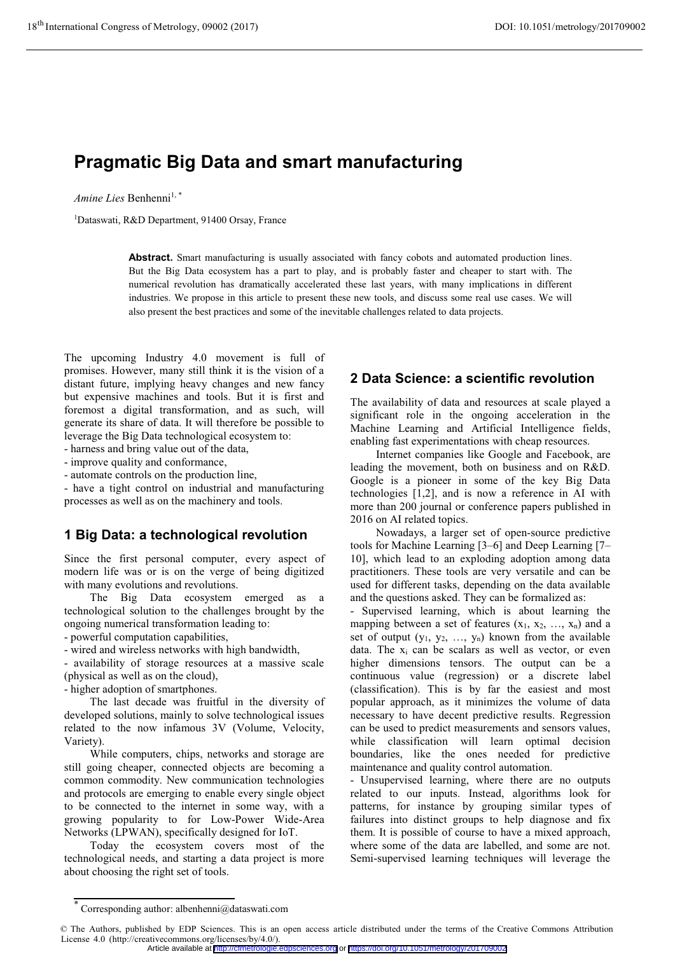# **Pragmatic Big Data and smart manufacturing**

*Amine Lies* Benhenni<sup>1,\*</sup>

1Dataswati, R&D Department, 91400 Orsay, France

**Abstract.** Smart manufacturing is usually associated with fancy cobots and automated production lines. But the Big Data ecosystem has a part to play, and is probably faster and cheaper to start with. The numerical revolution has dramatically accelerated these last years, with many implications in different industries. We propose in this article to present these new tools, and discuss some real use cases. We will also present the best practices and some of the inevitable challenges related to data projects.

The upcoming Industry 4.0 movement is full of promises. However, many still think it is the vision of a distant future, implying heavy changes and new fancy but expensive machines and tools. But it is first and foremost a digital transformation, and as such, will generate its share of data. It will therefore be possible to leverage the Big Data technological ecosystem to:

- harness and bring value out of the data,

- improve quality and conformance,

- automate controls on the production line,

- have a tight control on industrial and manufacturing processes as well as on the machinery and tools.

### **1 Big Data: a technological revolution**

Since the first personal computer, every aspect of modern life was or is on the verge of being digitized with many evolutions and revolutions.

The Big Data ecosystem emerged as a technological solution to the challenges brought by the ongoing numerical transformation leading to:

- powerful computation capabilities,

- wired and wireless networks with high bandwidth,

- availability of storage resources at a massive scale (physical as well as on the cloud),

- higher adoption of smartphones.

The last decade was fruitful in the diversity of developed solutions, mainly to solve technological issues related to the now infamous 3V (Volume, Velocity, Variety).

While computers, chips, networks and storage are still going cheaper, connected objects are becoming a common commodity. New communication technologies and protocols are emerging to enable every single object to be connected to the internet in some way, with a growing popularity to for Low-Power Wide-Area Networks (LPWAN), specifically designed for IoT.

Today the ecosystem covers most of the technological needs, and starting a data project is more about choosing the right set of tools.

### **2 Data Science: a scientific revolution**

The availability of data and resources at scale played a significant role in the ongoing acceleration in the Machine Learning and Artificial Intelligence fields, enabling fast experimentations with cheap resources.

Internet companies like Google and Facebook, are leading the movement, both on business and on R&D. Google is a pioneer in some of the key Big Data technologies [1,2], and is now a reference in AI with more than 200 journal or conference papers published in 2016 on AI related topics.

Nowadays, a larger set of open-source predictive tools for Machine Learning [3–6] and Deep Learning [7– 10], which lead to an exploding adoption among data practitioners. These tools are very versatile and can be used for different tasks, depending on the data available and the questions asked. They can be formalized as:

- Supervised learning, which is about learning the mapping between a set of features  $(x_1, x_2, ..., x_n)$  and a set of output  $(y_1, y_2, ..., y_n)$  known from the available data. The x<sub>i</sub> can be scalars as well as vector, or even higher dimensions tensors. The output can be a continuous value (regression) or a discrete label (classification). This is by far the easiest and most popular approach, as it minimizes the volume of data necessary to have decent predictive results. Regression can be used to predict measurements and sensors values, while classification will learn optimal decision boundaries, like the ones needed for predictive maintenance and quality control automation.

- Unsupervised learning, where there are no outputs related to our inputs. Instead, algorithms look for patterns, for instance by grouping similar types of failures into distinct groups to help diagnose and fix them. It is possible of course to have a mixed approach, where some of the data are labelled, and some are not. Semi-supervised learning techniques will leverage the

Article available at <http://cfmetrologie.edpsciences.org> or <https://doi.org/10.1051/metrology/201709002>

<sup>\*</sup> Corresponding author: albenhenni@dataswati.com

<sup>©</sup> The Authors, published by EDP Sciences. This is an open access article distributed under the terms of the Creative Commons Attribution License 4.0 (http://creativecommons.org/licenses/by/4.0/).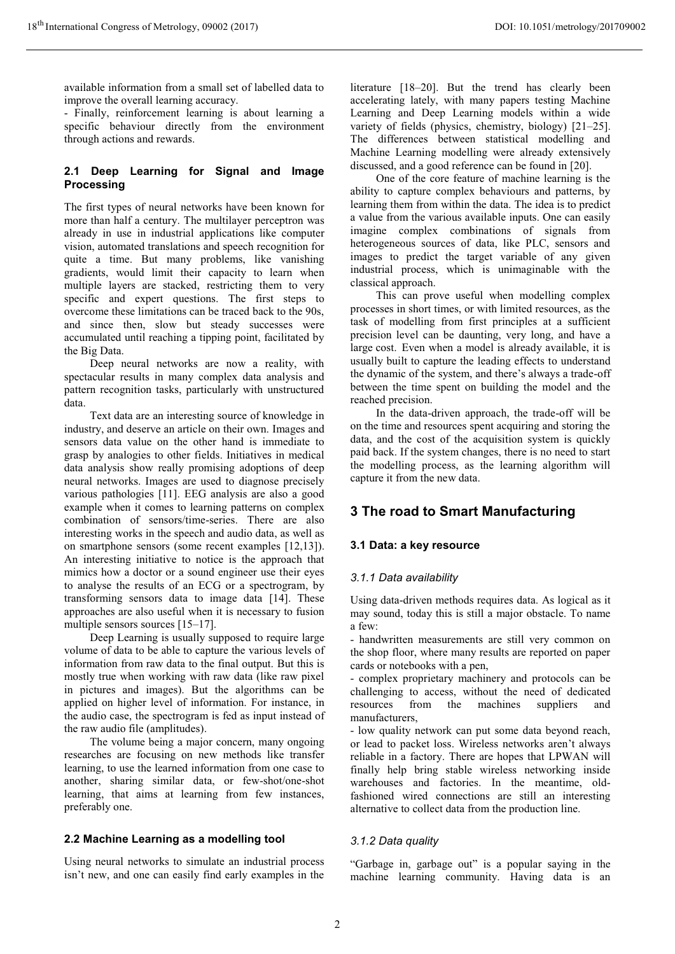available information from a small set of labelled data to improve the overall learning accuracy.

- Finally, reinforcement learning is about learning a specific behaviour directly from the environment through actions and rewards.

### **2.1 Deep Learning for Signal and Image Processing**

The first types of neural networks have been known for more than half a century. The multilayer perceptron was already in use in industrial applications like computer vision, automated translations and speech recognition for quite a time. But many problems, like vanishing gradients, would limit their capacity to learn when multiple layers are stacked, restricting them to very specific and expert questions. The first steps to overcome these limitations can be traced back to the 90s, and since then, slow but steady successes were accumulated until reaching a tipping point, facilitated by the Big Data.

Deep neural networks are now a reality, with spectacular results in many complex data analysis and pattern recognition tasks, particularly with unstructured data.

Text data are an interesting source of knowledge in industry, and deserve an article on their own. Images and sensors data value on the other hand is immediate to grasp by analogies to other fields. Initiatives in medical data analysis show really promising adoptions of deep neural networks. Images are used to diagnose precisely various pathologies [11]. EEG analysis are also a good example when it comes to learning patterns on complex combination of sensors/time-series. There are also interesting works in the speech and audio data, as well as on smartphone sensors (some recent examples [12,13]). An interesting initiative to notice is the approach that mimics how a doctor or a sound engineer use their eyes to analyse the results of an ECG or a spectrogram, by transforming sensors data to image data [14]. These approaches are also useful when it is necessary to fusion multiple sensors sources [15–17].

Deep Learning is usually supposed to require large volume of data to be able to capture the various levels of information from raw data to the final output. But this is mostly true when working with raw data (like raw pixel in pictures and images). But the algorithms can be applied on higher level of information. For instance, in the audio case, the spectrogram is fed as input instead of the raw audio file (amplitudes).

 The volume being a major concern, many ongoing researches are focusing on new methods like transfer learning, to use the learned information from one case to another, sharing similar data, or few-shot/one-shot learning, that aims at learning from few instances, preferably one.

### **2.2 Machine Learning as a modelling tool**

Using neural networks to simulate an industrial process isn't new, and one can easily find early examples in the

literature [18–20]. But the trend has clearly been accelerating lately, with many papers testing Machine Learning and Deep Learning models within a wide variety of fields (physics, chemistry, biology) [21–25]. The differences between statistical modelling and Machine Learning modelling were already extensively discussed, and a good reference can be found in [20].

One of the core feature of machine learning is the ability to capture complex behaviours and patterns, by learning them from within the data. The idea is to predict a value from the various available inputs. One can easily imagine complex combinations of signals from heterogeneous sources of data, like PLC, sensors and images to predict the target variable of any given industrial process, which is unimaginable with the classical approach.

This can prove useful when modelling complex processes in short times, or with limited resources, as the task of modelling from first principles at a sufficient precision level can be daunting, very long, and have a large cost. Even when a model is already available, it is usually built to capture the leading effects to understand the dynamic of the system, and there's always a trade-off between the time spent on building the model and the reached precision.

In the data-driven approach, the trade-off will be on the time and resources spent acquiring and storing the data, and the cost of the acquisition system is quickly paid back. If the system changes, there is no need to start the modelling process, as the learning algorithm will capture it from the new data.

## **3 The road to Smart Manufacturing**

### **3.1 Data: a key resource**

### *3.1.1 Data availability*

Using data-driven methods requires data. As logical as it may sound, today this is still a major obstacle. To name a few:

- handwritten measurements are still very common on the shop floor, where many results are reported on paper cards or notebooks with a pen,

- complex proprietary machinery and protocols can be challenging to access, without the need of dedicated resources from the machines suppliers and manufacturers,

- low quality network can put some data beyond reach, or lead to packet loss. Wireless networks aren't always reliable in a factory. There are hopes that LPWAN will finally help bring stable wireless networking inside warehouses and factories. In the meantime, oldfashioned wired connections are still an interesting alternative to collect data from the production line.

### *3.1.2 Data quality*

"Garbage in, garbage out" is a popular saying in the machine learning community. Having data is an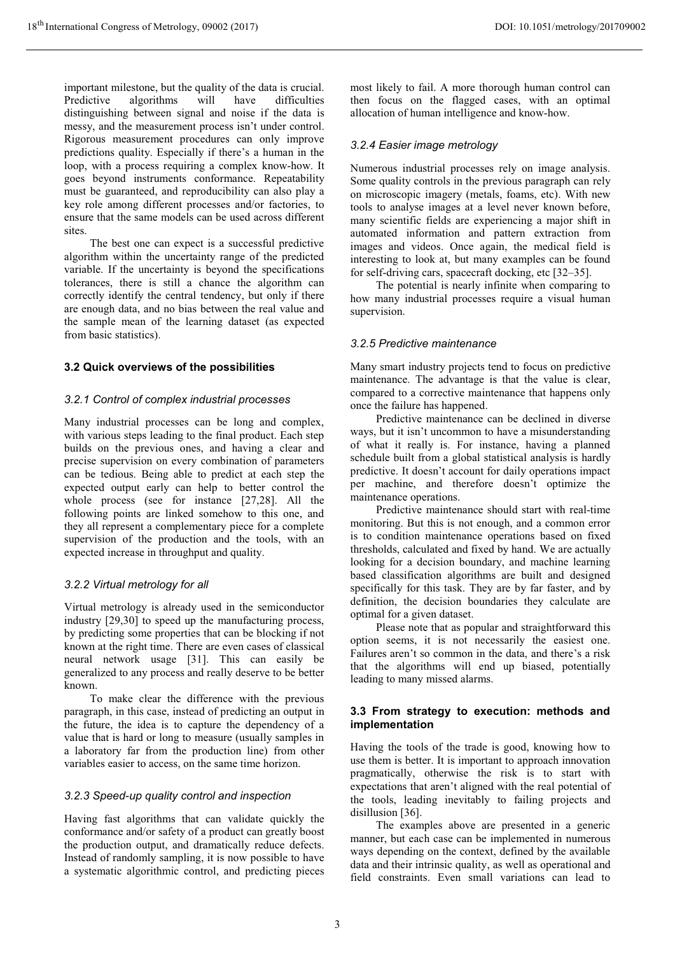important milestone, but the quality of the data is crucial.<br>Predictive algorithms will have difficulties Predictive algorithms will have difficulties distinguishing between signal and noise if the data is messy, and the measurement process isn't under control. Rigorous measurement procedures can only improve predictions quality. Especially if there's a human in the loop, with a process requiring a complex know-how. It goes beyond instruments conformance. Repeatability must be guaranteed, and reproducibility can also play a key role among different processes and/or factories, to ensure that the same models can be used across different sites.

 The best one can expect is a successful predictive algorithm within the uncertainty range of the predicted variable. If the uncertainty is beyond the specifications tolerances, there is still a chance the algorithm can correctly identify the central tendency, but only if there are enough data, and no bias between the real value and the sample mean of the learning dataset (as expected from basic statistics).

#### **3.2 Quick overviews of the possibilities**

#### *3.2.1 Control of complex industrial processes*

Many industrial processes can be long and complex, with various steps leading to the final product. Each step builds on the previous ones, and having a clear and precise supervision on every combination of parameters can be tedious. Being able to predict at each step the expected output early can help to better control the whole process (see for instance [27,28]. All the following points are linked somehow to this one, and they all represent a complementary piece for a complete supervision of the production and the tools, with an expected increase in throughput and quality.

#### *3.2.2 Virtual metrology for all*

Virtual metrology is already used in the semiconductor industry [29,30] to speed up the manufacturing process, by predicting some properties that can be blocking if not known at the right time. There are even cases of classical neural network usage [31]. This can easily be generalized to any process and really deserve to be better known.

To make clear the difference with the previous paragraph, in this case, instead of predicting an output in the future, the idea is to capture the dependency of a value that is hard or long to measure (usually samples in a laboratory far from the production line) from other variables easier to access, on the same time horizon.

#### *3.2.3 Speed-up quality control and inspection*

Having fast algorithms that can validate quickly the conformance and/or safety of a product can greatly boost the production output, and dramatically reduce defects. Instead of randomly sampling, it is now possible to have a systematic algorithmic control, and predicting pieces

most likely to fail. A more thorough human control can then focus on the flagged cases, with an optimal allocation of human intelligence and know-how.

#### *3.2.4 Easier image metrology*

Numerous industrial processes rely on image analysis. Some quality controls in the previous paragraph can rely on microscopic imagery (metals, foams, etc). With new tools to analyse images at a level never known before, many scientific fields are experiencing a major shift in automated information and pattern extraction from images and videos. Once again, the medical field is interesting to look at, but many examples can be found for self-driving cars, spacecraft docking, etc [32–35].

The potential is nearly infinite when comparing to how many industrial processes require a visual human supervision.

#### *3.2.5 Predictive maintenance*

Many smart industry projects tend to focus on predictive maintenance. The advantage is that the value is clear, compared to a corrective maintenance that happens only once the failure has happened.

Predictive maintenance can be declined in diverse ways, but it isn't uncommon to have a misunderstanding of what it really is. For instance, having a planned schedule built from a global statistical analysis is hardly predictive. It doesn't account for daily operations impact per machine, and therefore doesn't optimize the maintenance operations.

Predictive maintenance should start with real-time monitoring. But this is not enough, and a common error is to condition maintenance operations based on fixed thresholds, calculated and fixed by hand. We are actually looking for a decision boundary, and machine learning based classification algorithms are built and designed specifically for this task. They are by far faster, and by definition, the decision boundaries they calculate are optimal for a given dataset.

Please note that as popular and straightforward this option seems, it is not necessarily the easiest one. Failures aren't so common in the data, and there's a risk that the algorithms will end up biased, potentially leading to many missed alarms.

#### **3.3 From strategy to execution: methods and implementation**

Having the tools of the trade is good, knowing how to use them is better. It is important to approach innovation pragmatically, otherwise the risk is to start with expectations that aren't aligned with the real potential of the tools, leading inevitably to failing projects and disillusion [36].

 The examples above are presented in a generic manner, but each case can be implemented in numerous ways depending on the context, defined by the available data and their intrinsic quality, as well as operational and field constraints. Even small variations can lead to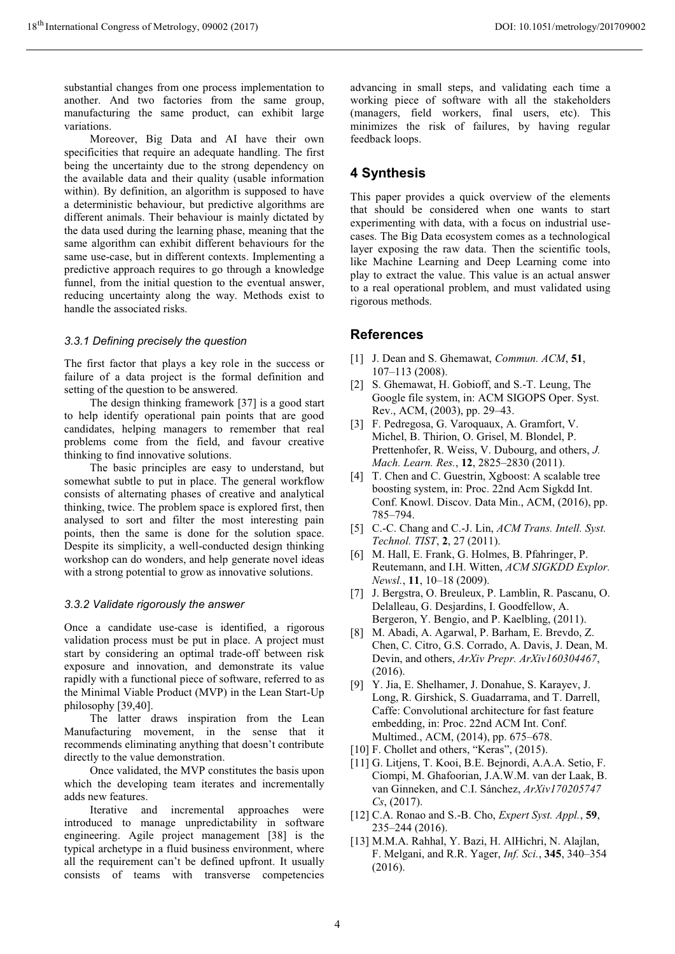substantial changes from one process implementation to another. And two factories from the same group, manufacturing the same product, can exhibit large variations.

Moreover, Big Data and AI have their own specificities that require an adequate handling. The first being the uncertainty due to the strong dependency on the available data and their quality (usable information within). By definition, an algorithm is supposed to have a deterministic behaviour, but predictive algorithms are different animals. Their behaviour is mainly dictated by the data used during the learning phase, meaning that the same algorithm can exhibit different behaviours for the same use-case, but in different contexts. Implementing a predictive approach requires to go through a knowledge funnel, from the initial question to the eventual answer, reducing uncertainty along the way. Methods exist to handle the associated risks.

#### *3.3.1 Defining precisely the question*

The first factor that plays a key role in the success or failure of a data project is the formal definition and setting of the question to be answered.

The design thinking framework [37] is a good start to help identify operational pain points that are good candidates, helping managers to remember that real problems come from the field, and favour creative thinking to find innovative solutions.

The basic principles are easy to understand, but somewhat subtle to put in place. The general workflow consists of alternating phases of creative and analytical thinking, twice. The problem space is explored first, then analysed to sort and filter the most interesting pain points, then the same is done for the solution space. Despite its simplicity, a well-conducted design thinking workshop can do wonders, and help generate novel ideas with a strong potential to grow as innovative solutions.

#### *3.3.2 Validate rigorously the answer*

Once a candidate use-case is identified, a rigorous validation process must be put in place. A project must start by considering an optimal trade-off between risk exposure and innovation, and demonstrate its value rapidly with a functional piece of software, referred to as the Minimal Viable Product (MVP) in the Lean Start-Up philosophy [39,40].

The latter draws inspiration from the Lean Manufacturing movement, in the sense that it recommends eliminating anything that doesn't contribute directly to the value demonstration.

Once validated, the MVP constitutes the basis upon which the developing team iterates and incrementally adds new features.

Iterative and incremental approaches were introduced to manage unpredictability in software engineering. Agile project management [38] is the typical archetype in a fluid business environment, where all the requirement can't be defined upfront. It usually consists of teams with transverse competencies

advancing in small steps, and validating each time a working piece of software with all the stakeholders (managers, field workers, final users, etc). This minimizes the risk of failures, by having regular feedback loops.

### **4 Synthesis**

This paper provides a quick overview of the elements that should be considered when one wants to start experimenting with data, with a focus on industrial usecases. The Big Data ecosystem comes as a technological layer exposing the raw data. Then the scientific tools, like Machine Learning and Deep Learning come into play to extract the value. This value is an actual answer to a real operational problem, and must validated using rigorous methods.

#### **References**

- [1] J. Dean and S. Ghemawat, *Commun. ACM*, **51**, 107–113 (2008).
- [2] S. Ghemawat, H. Gobioff, and S.-T. Leung, The Google file system, in: ACM SIGOPS Oper. Syst. Rev., ACM, (2003), pp. 29–43.
- [3] F. Pedregosa, G. Varoquaux, A. Gramfort, V. Michel, B. Thirion, O. Grisel, M. Blondel, P. Prettenhofer, R. Weiss, V. Dubourg, and others, *J. Mach. Learn. Res.*, **12**, 2825–2830 (2011).
- [4] T. Chen and C. Guestrin, Xgboost: A scalable tree boosting system, in: Proc. 22nd Acm Sigkdd Int. Conf. Knowl. Discov. Data Min., ACM, (2016), pp. 785–794.
- [5] C.-C. Chang and C.-J. Lin, *ACM Trans. Intell. Syst. Technol. TIST*, **2**, 27 (2011).
- [6] M. Hall, E. Frank, G. Holmes, B. Pfahringer, P. Reutemann, and I.H. Witten, *ACM SIGKDD Explor. Newsl.*, **11**, 10–18 (2009).
- [7] J. Bergstra, O. Breuleux, P. Lamblin, R. Pascanu, O. Delalleau, G. Desjardins, I. Goodfellow, A. Bergeron, Y. Bengio, and P. Kaelbling, (2011).
- [8] M. Abadi, A. Agarwal, P. Barham, E. Brevdo, Z. Chen, C. Citro, G.S. Corrado, A. Davis, J. Dean, M. Devin, and others, *ArXiv Prepr. ArXiv160304467*, (2016).
- [9] Y. Jia, E. Shelhamer, J. Donahue, S. Karayev, J. Long, R. Girshick, S. Guadarrama, and T. Darrell, Caffe: Convolutional architecture for fast feature embedding, in: Proc. 22nd ACM Int. Conf. Multimed., ACM, (2014), pp. 675–678.
- [10] F. Chollet and others, "Keras", (2015).
- [11] G. Litjens, T. Kooi, B.E. Bejnordi, A.A.A. Setio, F. Ciompi, M. Ghafoorian, J.A.W.M. van der Laak, B. van Ginneken, and C.I. Sánchez, *ArXiv170205747 Cs*, (2017).
- [12] C.A. Ronao and S.-B. Cho, *Expert Syst. Appl.*, **59**, 235–244 (2016).
- [13] M.M.A. Rahhal, Y. Bazi, H. AlHichri, N. Alajlan, F. Melgani, and R.R. Yager, *Inf. Sci.*, **345**, 340–354 (2016).